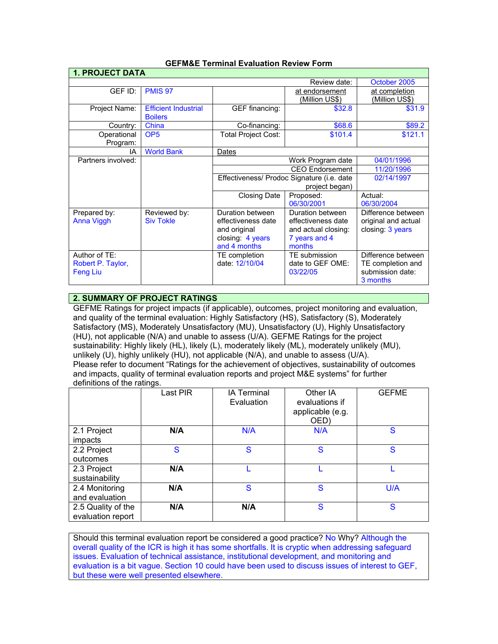| <b>1. PROJECT DATA</b> |                             |                                                              |                        |                       |  |  |  |
|------------------------|-----------------------------|--------------------------------------------------------------|------------------------|-----------------------|--|--|--|
|                        |                             |                                                              | Review date:           | October 2005          |  |  |  |
| GEF ID:                | <b>PMIS 97</b>              |                                                              | at endorsement         | at completion         |  |  |  |
|                        |                             |                                                              | <u>(Million US\$)</u>  | <u>(Million US\$)</u> |  |  |  |
| Project Name:          | <b>Efficient Industrial</b> | <b>GEF</b> financing:                                        | \$32.8                 | \$31.9                |  |  |  |
|                        | <b>Boilers</b>              |                                                              |                        |                       |  |  |  |
| Country:               | China                       | Co-financing:                                                | \$68.6                 | \$89.2                |  |  |  |
| Operational            | OP <sub>5</sub>             | <b>Total Project Cost:</b>                                   | \$101.4                | \$121.1               |  |  |  |
| Program:               |                             |                                                              |                        |                       |  |  |  |
| IA                     | <b>World Bank</b>           | Dates                                                        |                        |                       |  |  |  |
| Partners involved:     |                             |                                                              | Work Program date      |                       |  |  |  |
|                        |                             |                                                              | <b>CEO</b> Endorsement | 11/20/1996            |  |  |  |
|                        |                             | Effectiveness/ Prodoc Signature (i.e. date<br>project began) |                        | 02/14/1997            |  |  |  |
|                        |                             |                                                              |                        |                       |  |  |  |
|                        |                             | Closing Date                                                 | Proposed:              | Actual:               |  |  |  |
|                        |                             |                                                              | 06/30/2001             | 06/30/2004            |  |  |  |
| Prepared by:           | Reviewed by:                | Duration between                                             | Duration between       | Difference between    |  |  |  |
| <b>Anna Viggh</b>      | <b>Siv Tokle</b>            | effectiveness date                                           | effectiveness date     | original and actual   |  |  |  |
|                        |                             | and original                                                 | and actual closing:    | closing: 3 years      |  |  |  |
|                        |                             | closing: 4 years                                             | 7 years and 4          |                       |  |  |  |
|                        |                             | and 4 months                                                 | months                 |                       |  |  |  |
| Author of TE:          |                             | TE completion                                                | TE submission          | Difference between    |  |  |  |
| Robert P. Taylor,      |                             | date: 12/10/04                                               | date to GEF OME:       | TE completion and     |  |  |  |
| <b>Feng Liu</b>        |                             |                                                              | 03/22/05               | submission date:      |  |  |  |
|                        |                             |                                                              |                        | 3 months              |  |  |  |

### **GEFM&E Terminal Evaluation Review Form**

## **2. SUMMARY OF PROJECT RATINGS**

GEFME Ratings for project impacts (if applicable), outcomes, project monitoring and evaluation, and quality of the terminal evaluation: Highly Satisfactory (HS), Satisfactory (S), Moderately Satisfactory (MS), Moderately Unsatisfactory (MU), Unsatisfactory (U), Highly Unsatisfactory (HU), not applicable (N/A) and unable to assess (U/A). GEFME Ratings for the project sustainability: Highly likely (HL), likely (L), moderately likely (ML), moderately unlikely (MU), unlikely (U), highly unlikely (HU), not applicable (N/A), and unable to assess (U/A). Please refer to document "Ratings for the achievement of objectives, sustainability of outcomes and impacts, quality of terminal evaluation reports and project M&E systems" for further definitions of the ratings.

|                                         | Last PIR | <b>IA Terminal</b><br>Evaluation | Other IA<br>evaluations if<br>applicable (e.g.<br>OED) | <b>GEFME</b> |
|-----------------------------------------|----------|----------------------------------|--------------------------------------------------------|--------------|
| 2.1 Project<br>impacts                  | N/A      | N/A                              | N/A                                                    | S            |
| 2.2 Project<br>outcomes                 | S        | S                                | S                                                      | S            |
| 2.3 Project<br>sustainability           | N/A      |                                  |                                                        |              |
| 2.4 Monitoring<br>and evaluation        | N/A      | S                                | S                                                      | U/A          |
| 2.5 Quality of the<br>evaluation report | N/A      | N/A                              | S                                                      | S            |

Should this terminal evaluation report be considered a good practice? No Why? Although the overall quality of the ICR is high it has some shortfalls. It is cryptic when addressing safeguard issues. Evaluation of technical assistance, institutional development, and monitoring and evaluation is a bit vague. Section 10 could have been used to discuss issues of interest to GEF, but these were well presented elsewhere.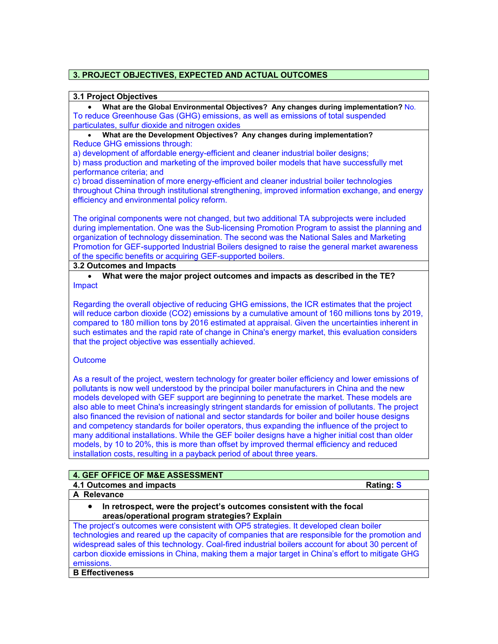# **3. PROJECT OBJECTIVES, EXPECTED AND ACTUAL OUTCOMES**

#### **3.1 Project Objectives**

• **What are the Global Environmental Objectives? Any changes during implementation?** No. To reduce Greenhouse Gas (GHG) emissions, as well as emissions of total suspended particulates, sulfur dioxide and nitrogen oxides

# • **What are the Development Objectives? Any changes during implementation?**

Reduce GHG emissions through:

a) development of affordable energy-efficient and cleaner industrial boiler designs;

b) mass production and marketing of the improved boiler models that have successfully met performance criteria; and

c) broad dissemination of more energy-efficient and cleaner industrial boiler technologies throughout China through institutional strengthening, improved information exchange, and energy efficiency and environmental policy reform.

The original components were not changed, but two additional TA subprojects were included during implementation. One was the Sub-licensing Promotion Program to assist the planning and organization of technology dissemination. The second was the National Sales and Marketing Promotion for GEF-supported Industrial Boilers designed to raise the general market awareness of the specific benefits or acquiring GEF-supported boilers.

### **3.2 Outcomes and Impacts**

• **What were the major project outcomes and impacts as described in the TE?** Impact

Regarding the overall objective of reducing GHG emissions, the ICR estimates that the project will reduce carbon dioxide (CO2) emissions by a cumulative amount of 160 millions tons by 2019, compared to 180 million tons by 2016 estimated at appraisal. Given the uncertainties inherent in such estimates and the rapid rate of change in China's energy market, this evaluation considers that the project objective was essentially achieved.

## **Outcome**

As a result of the project, western technology for greater boiler efficiency and lower emissions of pollutants is now well understood by the principal boiler manufacturers in China and the new models developed with GEF support are beginning to penetrate the market. These models are also able to meet China's increasingly stringent standards for emission of pollutants. The project also financed the revision of national and sector standards for boiler and boiler house designs and competency standards for boiler operators, thus expanding the influence of the project to many additional installations. While the GEF boiler designs have a higher initial cost than older models, by 10 to 20%, this is more than offset by improved thermal efficiency and reduced installation costs, resulting in a payback period of about three years.

## **4. GEF OFFICE OF M&E ASSESSMENT**

**4.1 Outcomes and impacts Rating: S**

**A Relevance** 

• **In retrospect, were the project's outcomes consistent with the focal areas/operational program strategies? Explain**

The project's outcomes were consistent with OP5 strategies. It developed clean boiler technologies and reared up the capacity of companies that are responsible for the promotion and widespread sales of this technology. Coal-fired industrial boilers account for about 30 percent of carbon dioxide emissions in China, making them a major target in China's effort to mitigate GHG emissions.

# **B Effectiveness**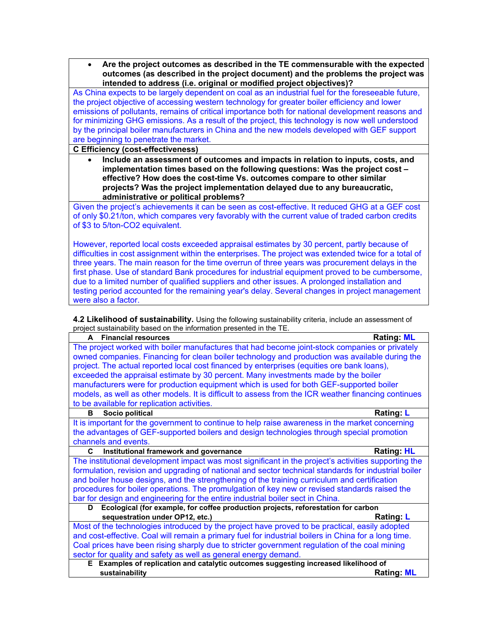• **Are the project outcomes as described in the TE commensurable with the expected outcomes (as described in the project document) and the problems the project was intended to address (i.e. original or modified project objectives)?**

As China expects to be largely dependent on coal as an industrial fuel for the foreseeable future, the project objective of accessing western technology for greater boiler efficiency and lower emissions of pollutants, remains of critical importance both for national development reasons and for minimizing GHG emissions. As a result of the project, this technology is now well understood by the principal boiler manufacturers in China and the new models developed with GEF support are beginning to penetrate the market.

**C Efficiency (cost-effectiveness)** 

• **Include an assessment of outcomes and impacts in relation to inputs, costs, and implementation times based on the following questions: Was the project cost – effective? How does the cost-time Vs. outcomes compare to other similar projects? Was the project implementation delayed due to any bureaucratic, administrative or political problems?**

Given the project's achievements it can be seen as cost-effective. It reduced GHG at a GEF cost of only \$0.21/ton, which compares very favorably with the current value of traded carbon credits of \$3 to 5/ton-CO2 equivalent.

However, reported local costs exceeded appraisal estimates by 30 percent, partly because of difficulties in cost assignment within the enterprises. The project was extended twice for a total of three years. The main reason for the time overrun of three years was procurement delays in the first phase. Use of standard Bank procedures for industrial equipment proved to be cumbersome, due to a limited number of qualified suppliers and other issues. A prolonged installation and testing period accounted for the remaining year's delay. Several changes in project management were also a factor.

**4.2 Likelihood of sustainability.** Using the following sustainability criteria, include an assessment of project sustainability based on the information presented in the TE.

| project sustainability based on the imormation presented in the TE.<br><b>Financial resources</b><br><b>Rating: ML</b><br>A |  |  |  |  |
|-----------------------------------------------------------------------------------------------------------------------------|--|--|--|--|
| The project worked with boiler manufactures that had become joint-stock companies or privately                              |  |  |  |  |
| owned companies. Financing for clean boiler technology and production was available during the                              |  |  |  |  |
| project. The actual reported local cost financed by enterprises (equities ore bank loans),                                  |  |  |  |  |
| exceeded the appraisal estimate by 30 percent. Many investments made by the boiler                                          |  |  |  |  |
| manufacturers were for production equipment which is used for both GEF-supported boiler                                     |  |  |  |  |
|                                                                                                                             |  |  |  |  |
| models, as well as other models. It is difficult to assess from the ICR weather financing continues                         |  |  |  |  |
| to be available for replication activities.                                                                                 |  |  |  |  |
| Socio political<br>Rating: L<br>в                                                                                           |  |  |  |  |
| It is important for the government to continue to help raise awareness in the market concerning                             |  |  |  |  |
| the advantages of GEF-supported boilers and design technologies through special promotion                                   |  |  |  |  |
| channels and events.                                                                                                        |  |  |  |  |
| <b>Rating: HL</b><br>C<br>Institutional framework and governance                                                            |  |  |  |  |
| The institutional development impact was most significant in the project's activities supporting the                        |  |  |  |  |
| formulation, revision and upgrading of national and sector technical standards for industrial boiler                        |  |  |  |  |
| and boiler house designs, and the strengthening of the training curriculum and certification                                |  |  |  |  |
| procedures for boiler operations. The promulgation of key new or revised standards raised the                               |  |  |  |  |
| bar for design and engineering for the entire industrial boiler sect in China.                                              |  |  |  |  |
| Ecological (for example, for coffee production projects, reforestation for carbon<br>D.                                     |  |  |  |  |
| sequestration under OP12, etc.)<br><b>Rating: L</b>                                                                         |  |  |  |  |
| Most of the technologies introduced by the project have proved to be practical, easily adopted                              |  |  |  |  |
| and cost-effective. Coal will remain a primary fuel for industrial boilers in China for a long time.                        |  |  |  |  |
| Coal prices have been rising sharply due to stricter government regulation of the coal mining                               |  |  |  |  |
| sector for quality and safety as well as general energy demand.                                                             |  |  |  |  |
| E Examples of replication and catalytic outcomes suggesting increased likelihood of                                         |  |  |  |  |
| <b>Rating: ML</b><br>sustainability                                                                                         |  |  |  |  |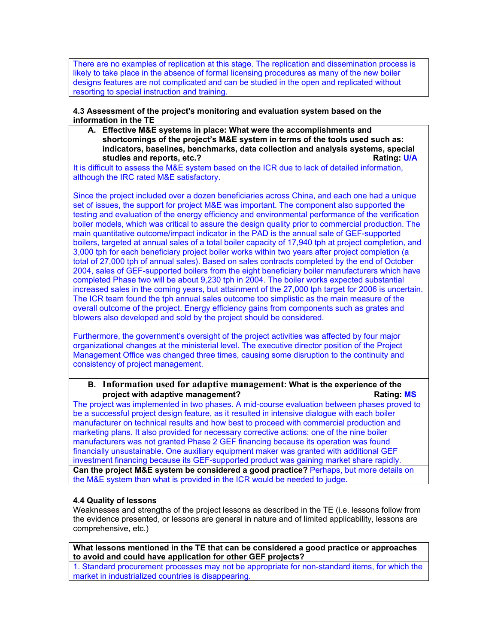There are no examples of replication at this stage. The replication and dissemination process is likely to take place in the absence of formal licensing procedures as many of the new boiler designs features are not complicated and can be studied in the open and replicated without resorting to special instruction and training.

#### **4.3 Assessment of the project's monitoring and evaluation system based on the information in the TE**

**A. Effective M&E systems in place: What were the accomplishments and shortcomings of the project's M&E system in terms of the tools used such as: indicators, baselines, benchmarks, data collection and analysis systems, special studies and reports, etc.?** All a studies and reports, etc.? All a studies and reports, etc.? All a studies and reports, etc.? All a studies and reports, etc.? All a studies and reports, etc.? All a studies and reports, e

It is difficult to assess the M&E system based on the ICR due to lack of detailed information, although the IRC rated M&E satisfactory.

Since the project included over a dozen beneficiaries across China, and each one had a unique set of issues, the support for project M&E was important. The component also supported the testing and evaluation of the energy efficiency and environmental performance of the verification boiler models, which was critical to assure the design quality prior to commercial production. The main quantitative outcome/impact indicator in the PAD is the annual sale of GEF-supported boilers, targeted at annual sales of a total boiler capacity of 17,940 tph at project completion, and 3,000 tph for each beneficiary project boiler works within two years after project completion (a total of 27,000 tph of annual sales). Based on sales contracts completed by the end of October 2004, sales of GEF-supported boilers from the eight beneficiary boiler manufacturers which have completed Phase two will be about 9,230 tph in 2004. The boiler works expected substantial increased sales in the coming years, but attainment of the 27,000 tph target for 2006 is uncertain. The ICR team found the tph annual sales outcome too simplistic as the main measure of the overall outcome of the project. Energy efficiency gains from components such as grates and blowers also developed and sold by the project should be considered.

Furthermore, the government's oversight of the project activities was affected by four major organizational changes at the ministerial level. The executive director position of the Project Management Office was changed three times, causing some disruption to the continuity and consistency of project management.

### **B. Information used for adaptive management: What is the experience of the project with adaptive management? Rating: MS** Rating: MS

The project was implemented in two phases. A mid-course evaluation between phases proved to be a successful project design feature, as it resulted in intensive dialogue with each boiler manufacturer on technical results and how best to proceed with commercial production and marketing plans. It also provided for necessary corrective actions: one of the nine boiler manufacturers was not granted Phase 2 GEF financing because its operation was found financially unsustainable. One auxiliary equipment maker was granted with additional GEF investment financing because its GEF-supported product was gaining market share rapidly. **Can the project M&E system be considered a good practice?** Perhaps, but more details on the M&E system than what is provided in the ICR would be needed to judge.

## **4.4 Quality of lessons**

Weaknesses and strengths of the project lessons as described in the TE (i.e. lessons follow from the evidence presented, or lessons are general in nature and of limited applicability, lessons are comprehensive, etc.)

**What lessons mentioned in the TE that can be considered a good practice or approaches to avoid and could have application for other GEF projects?**

1. Standard procurement processes may not be appropriate for non-standard items, for which the market in industrialized countries is disappearing.